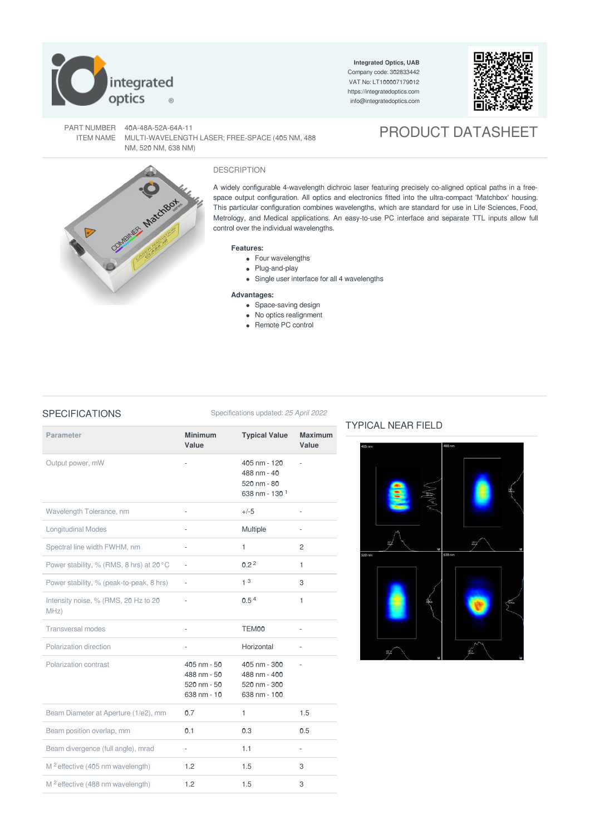

**Integrated Optics, UAB** Company code: 302833442 VAT No: LT100007179012 <https://integratedoptics.com> info@integratedoptics.com



PART NUMBER 40A-48A-52A-64A-11 ITEM NAME MULTI-WAVELENGTH LASER; FREE-SPACE (405 NM, 488 NM, 520 NM, 638 NM)

# PRODUCT DATASHEET



## DESCRIPTION

A widely configurable 4-wavelength dichroic laser featuring precisely co-aligned optical paths in a freespace output configuration. All optics and electronics fitted into the ultra-compact 'Matchbox' housing. This particular configuration combines wavelengths, which are standard for use in Life Sciences, Food, Metrology, and Medical applications. An easy-to-use PC interface and separate TTL inputs allow full control over the individual wavelengths.

### **Features:**

- Four wavelengths
- Plug-and-play
- Single user interface for all 4 wavelengths

### **Advantages:**

- Space-saving design
- No optics realignment
- Remote PC control

### SPECIFICATIONS Specifications updated: 25 April 2022

| <b>Parameter</b>                             | <b>Minimum</b>                                                       | <b>Typical Value</b>                                                    | <b>Maximum</b> |
|----------------------------------------------|----------------------------------------------------------------------|-------------------------------------------------------------------------|----------------|
|                                              | Value                                                                |                                                                         | Value          |
| Output power, mW                             | ÷,                                                                   | 405 nm - 120<br>488 nm - 40<br>520 nm - 80<br>638 nm - 130 <sup>1</sup> |                |
| Wavelength Tolerance, nm                     | L,                                                                   | $+/-5$                                                                  |                |
| <b>Longitudinal Modes</b>                    | ÷,                                                                   | Multiple                                                                | L,             |
| Spectral line width FWHM, nm                 | $\bar{a}$                                                            | 1                                                                       | $\overline{c}$ |
| Power stability, % (RMS, 8 hrs) at 20°C      |                                                                      | 0.2 <sup>2</sup>                                                        | 1              |
| Power stability, % (peak-to-peak, 8 hrs)     | ÷,                                                                   | 1 <sup>3</sup>                                                          | 3              |
| Intensity noise, % (RMS, 20 Hz to 20<br>MHZ) | ÷,                                                                   | 0.5 <sup>4</sup>                                                        | 1              |
| <b>Transversal modes</b>                     |                                                                      | TEM00                                                                   |                |
| Polarization direction                       | ä,                                                                   | Horizontal                                                              | $\overline{a}$ |
| Polarization contrast                        | 405 nm - 50<br>488 nm - 50<br>$520 \, \text{nm} - 50$<br>638 nm - 10 | 405 nm - 300<br>488 nm - 400<br>520 nm - 300<br>638 nm - 100            |                |
| Beam Diameter at Aperture (1/e2), mm         | 0.7                                                                  | 1                                                                       | 1.5            |
| Beam position overlap, mm                    | 0.1                                                                  | 0.3                                                                     | 0.5            |
| Beam divergence (full angle), mrad           | ÷,                                                                   | 1.1                                                                     | ÷,             |
| M <sup>2</sup> effective (405 nm wavelength) | 1.2                                                                  | 1.5                                                                     | 3              |
| M <sup>2</sup> effective (488 nm wavelength) | 1.2                                                                  | 1.5                                                                     | 3              |

### TYPICAL NEAR FIELD